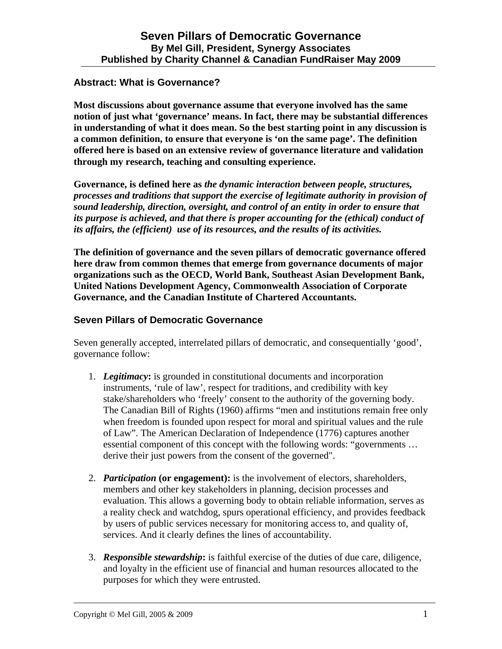## **Abstract: What is Governance?**

**Most discussions about governance assume that everyone involved has the same notion of just what 'governance' means. In fact, there may be substantial differences in understanding of what it does mean. So the best starting point in any discussion is a common definition, to ensure that everyone is 'on the same page'. The definition offered here is based on an extensive review of governance literature and validation through my research, teaching and consulting experience.** 

**Governance, is defined here as** *the dynamic interaction between people, structures, processes and traditions that support the exercise of legitimate authority in provision of sound leadership, direction, oversight, and control of an entity in order to ensure that its purpose is achieved, and that there is proper accounting for the (ethical) conduct of its affairs, the (efficient) use of its resources, and the results of its activities.*

**The definition of governance and the seven pillars of democratic governance offered here draw from common themes that emerge from governance documents of major organizations such as the OECD, World Bank, Southeast Asian Development Bank, United Nations Development Agency, Commonwealth Association of Corporate Governance, and the Canadian Institute of Chartered Accountants.** 

## **Seven Pillars of Democratic Governance**

Seven generally accepted, interrelated pillars of democratic, and consequentially 'good', governance follow:

- 1. *Legitimacy***:** is grounded in constitutional documents and incorporation instruments, 'rule of law', respect for traditions, and credibility with key stake/shareholders who 'freely' consent to the authority of the governing body. The Canadian Bill of Rights (1960) affirms "men and institutions remain free only when freedom is founded upon respect for moral and spiritual values and the rule of Law". The American Declaration of Independence (1776) captures another essential component of this concept with the following words: "governments … derive their just powers from the consent of the governed".
- 2. *Participation* **(or engagement):** is the involvement of electors, shareholders, members and other key stakeholders in planning, decision processes and evaluation. This allows a governing body to obtain reliable information, serves as a reality check and watchdog, spurs operational efficiency, and provides feedback by users of public services necessary for monitoring access to, and quality of, services. And it clearly defines the lines of accountability.
- 3. *Responsible stewardship***:** is faithful exercise of the duties of due care, diligence, and loyalty in the efficient use of financial and human resources allocated to the purposes for which they were entrusted.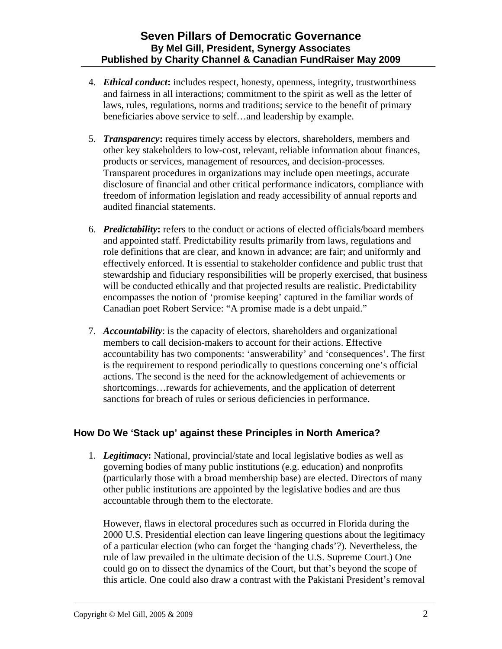- 4. *Ethical conduct***:** includes respect, honesty, openness, integrity, trustworthiness and fairness in all interactions; commitment to the spirit as well as the letter of laws, rules, regulations, norms and traditions; service to the benefit of primary beneficiaries above service to self…and leadership by example.
- 5. *Transparency***:** requires timely access by electors, shareholders, members and other key stakeholders to low-cost, relevant, reliable information about finances, products or services, management of resources, and decision-processes. Transparent procedures in organizations may include open meetings, accurate disclosure of financial and other critical performance indicators, compliance with freedom of information legislation and ready accessibility of annual reports and audited financial statements.
- 6. *Predictability***:** refers to the conduct or actions of elected officials/board members and appointed staff. Predictability results primarily from laws, regulations and role definitions that are clear, and known in advance; are fair; and uniformly and effectively enforced. It is essential to stakeholder confidence and public trust that stewardship and fiduciary responsibilities will be properly exercised, that business will be conducted ethically and that projected results are realistic. Predictability encompasses the notion of 'promise keeping' captured in the familiar words of Canadian poet Robert Service: "A promise made is a debt unpaid."
- 7. *Accountability*: is the capacity of electors, shareholders and organizational members to call decision-makers to account for their actions. Effective accountability has two components: 'answerability' and 'consequences'. The first is the requirement to respond periodically to questions concerning one's official actions. The second is the need for the acknowledgement of achievements or shortcomings…rewards for achievements, and the application of deterrent sanctions for breach of rules or serious deficiencies in performance.

# **How Do We 'Stack up' against these Principles in North America?**

1. *Legitimacy***:** National, provincial/state and local legislative bodies as well as governing bodies of many public institutions (e.g. education) and nonprofits (particularly those with a broad membership base) are elected. Directors of many other public institutions are appointed by the legislative bodies and are thus accountable through them to the electorate.

However, flaws in electoral procedures such as occurred in Florida during the 2000 U.S. Presidential election can leave lingering questions about the legitimacy of a particular election (who can forget the 'hanging chads'?). Nevertheless, the rule of law prevailed in the ultimate decision of the U.S. Supreme Court.) One could go on to dissect the dynamics of the Court, but that's beyond the scope of this article. One could also draw a contrast with the Pakistani President's removal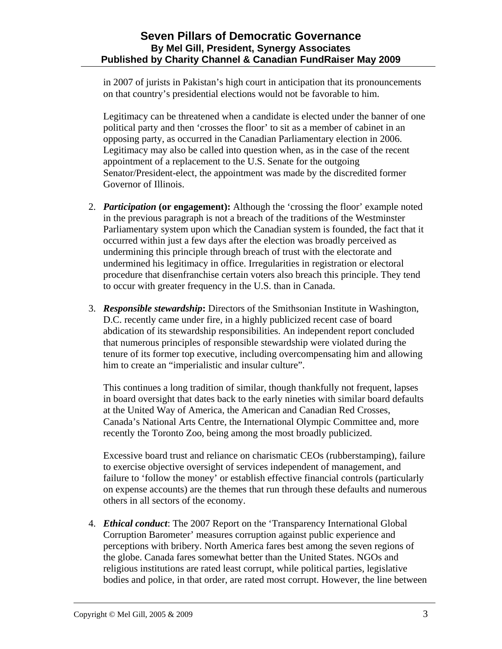in 2007 of jurists in Pakistan's high court in anticipation that its pronouncements on that country's presidential elections would not be favorable to him.

Legitimacy can be threatened when a candidate is elected under the banner of one political party and then 'crosses the floor' to sit as a member of cabinet in an opposing party, as occurred in the Canadian Parliamentary election in 2006. Legitimacy may also be called into question when, as in the case of the recent appointment of a replacement to the U.S. Senate for the outgoing Senator/President-elect, the appointment was made by the discredited former Governor of Illinois.

- 2. *Participation* **(or engagement):** Although the 'crossing the floor' example noted in the previous paragraph is not a breach of the traditions of the Westminster Parliamentary system upon which the Canadian system is founded, the fact that it occurred within just a few days after the election was broadly perceived as undermining this principle through breach of trust with the electorate and undermined his legitimacy in office. Irregularities in registration or electoral procedure that disenfranchise certain voters also breach this principle. They tend to occur with greater frequency in the U.S. than in Canada.
- 3. *Responsible stewardship***:** Directors of the Smithsonian Institute in Washington, D.C. recently came under fire, in a highly publicized recent case of board abdication of its stewardship responsibilities. An independent report concluded that numerous principles of responsible stewardship were violated during the tenure of its former top executive, including overcompensating him and allowing him to create an "imperialistic and insular culture".

This continues a long tradition of similar, though thankfully not frequent, lapses in board oversight that dates back to the early nineties with similar board defaults at the United Way of America, the American and Canadian Red Crosses, Canada's National Arts Centre, the International Olympic Committee and, more recently the Toronto Zoo, being among the most broadly publicized.

Excessive board trust and reliance on charismatic CEOs (rubberstamping), failure to exercise objective oversight of services independent of management, and failure to 'follow the money' or establish effective financial controls (particularly on expense accounts) are the themes that run through these defaults and numerous others in all sectors of the economy.

4. *Ethical conduct*: The 2007 Report on the 'Transparency International Global Corruption Barometer' measures corruption against public experience and perceptions with bribery. North America fares best among the seven regions of the globe. Canada fares somewhat better than the United States. NGOs and religious institutions are rated least corrupt, while political parties, legislative bodies and police, in that order, are rated most corrupt. However, the line between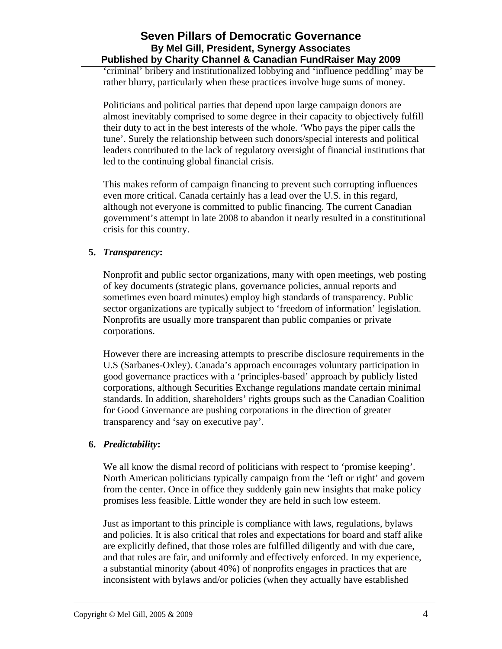# **Seven Pillars of Democratic Governance By Mel Gill, President, Synergy Associates Published by Charity Channel & Canadian FundRaiser May 2009**

'criminal' bribery and institutionalized lobbying and 'influence peddling' may be rather blurry, particularly when these practices involve huge sums of money.

Politicians and political parties that depend upon large campaign donors are almost inevitably comprised to some degree in their capacity to objectively fulfill their duty to act in the best interests of the whole. 'Who pays the piper calls the tune'. Surely the relationship between such donors/special interests and political leaders contributed to the lack of regulatory oversight of financial institutions that led to the continuing global financial crisis.

This makes reform of campaign financing to prevent such corrupting influences even more critical. Canada certainly has a lead over the U.S. in this regard, although not everyone is committed to public financing. The current Canadian government's attempt in late 2008 to abandon it nearly resulted in a constitutional crisis for this country.

#### **5.** *Transparency***:**

Nonprofit and public sector organizations, many with open meetings, web posting of key documents (strategic plans, governance policies, annual reports and sometimes even board minutes) employ high standards of transparency. Public sector organizations are typically subject to 'freedom of information' legislation. Nonprofits are usually more transparent than public companies or private corporations.

However there are increasing attempts to prescribe disclosure requirements in the U.S (Sarbanes-Oxley). Canada's approach encourages voluntary participation in good governance practices with a 'principles-based' approach by publicly listed corporations, although Securities Exchange regulations mandate certain minimal standards. In addition, shareholders' rights groups such as the Canadian Coalition for Good Governance are pushing corporations in the direction of greater transparency and 'say on executive pay'.

#### **6.** *Predictability***:**

We all know the dismal record of politicians with respect to 'promise keeping'. North American politicians typically campaign from the 'left or right' and govern from the center. Once in office they suddenly gain new insights that make policy promises less feasible. Little wonder they are held in such low esteem.

Just as important to this principle is compliance with laws, regulations, bylaws and policies. It is also critical that roles and expectations for board and staff alike are explicitly defined, that those roles are fulfilled diligently and with due care, and that rules are fair, and uniformly and effectively enforced. In my experience, a substantial minority (about 40%) of nonprofits engages in practices that are inconsistent with bylaws and/or policies (when they actually have established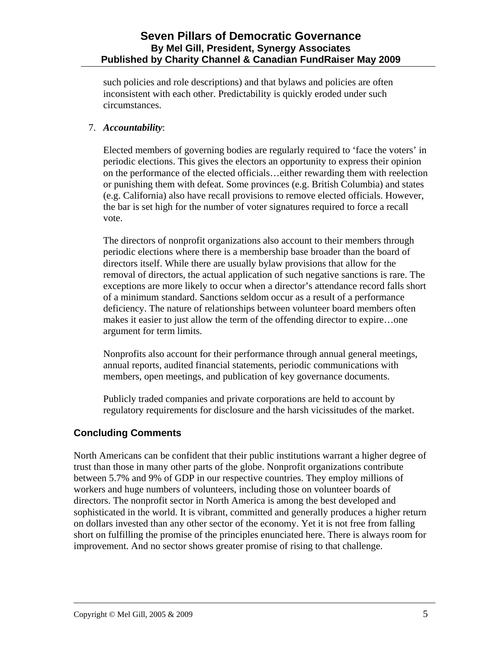## **Seven Pillars of Democratic Governance By Mel Gill, President, Synergy Associates Published by Charity Channel & Canadian FundRaiser May 2009**

such policies and role descriptions) and that bylaws and policies are often inconsistent with each other. Predictability is quickly eroded under such circumstances.

#### 7. *Accountability*:

Elected members of governing bodies are regularly required to 'face the voters' in periodic elections. This gives the electors an opportunity to express their opinion on the performance of the elected officials…either rewarding them with reelection or punishing them with defeat. Some provinces (e.g. British Columbia) and states (e.g. California) also have recall provisions to remove elected officials. However, the bar is set high for the number of voter signatures required to force a recall vote.

The directors of nonprofit organizations also account to their members through periodic elections where there is a membership base broader than the board of directors itself. While there are usually bylaw provisions that allow for the removal of directors, the actual application of such negative sanctions is rare. The exceptions are more likely to occur when a director's attendance record falls short of a minimum standard. Sanctions seldom occur as a result of a performance deficiency. The nature of relationships between volunteer board members often makes it easier to just allow the term of the offending director to expire…one argument for term limits.

Nonprofits also account for their performance through annual general meetings, annual reports, audited financial statements, periodic communications with members, open meetings, and publication of key governance documents.

Publicly traded companies and private corporations are held to account by regulatory requirements for disclosure and the harsh vicissitudes of the market.

# **Concluding Comments**

North Americans can be confident that their public institutions warrant a higher degree of trust than those in many other parts of the globe. Nonprofit organizations contribute between 5.7% and 9% of GDP in our respective countries. They employ millions of workers and huge numbers of volunteers, including those on volunteer boards of directors. The nonprofit sector in North America is among the best developed and sophisticated in the world. It is vibrant, committed and generally produces a higher return on dollars invested than any other sector of the economy. Yet it is not free from falling short on fulfilling the promise of the principles enunciated here. There is always room for improvement. And no sector shows greater promise of rising to that challenge.